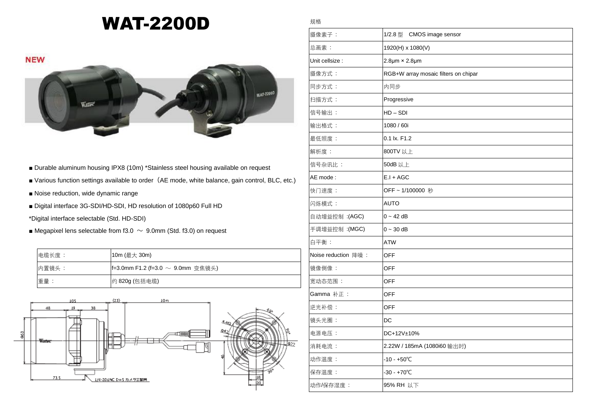## WAT-2200D

規格



- Durable aluminum housing IPX8 (10m) \*Stainless steel housing available on request
- Various function settings available to order (AE mode, white balance, gain control, BLC, etc.)
- Noise reduction, wide dynamic range
- Digital interface 3G-SDI/HD-SDI, HD resolution of 1080p60 Full HD
- \*Digital interface selectable (Std. HD-SDI)
- Megapixel lens selectable from f3.0  $\sim$  9.0mm (Std. f3.0) on request

| 电缆长度: | 10m (最大 30m)                             |
|-------|------------------------------------------|
| 内置镜头: | <b>f=3.0mm F1.2 (f=3.0 ∼ 9.0mm</b> 变焦镜头) |
| 重量:   | 约 820g (包括电缆)                            |



| 摄像素子:               | 1/2.8 型 CMOS image sensor            |
|---------------------|--------------------------------------|
| 总画素:                | 1920(H) x 1080(V)                    |
| Unit cellsize :     | $2.8 \mu m \times 2.8 \mu m$         |
| 摄像方式:               | RGB+W array mosaic filters on chipar |
| 同步方式:               | 内同步                                  |
| 扫描方式:               | Progressive                          |
| 信号输出:               | $HD - SDI$                           |
| 输出格式:               | 1080 / 60i                           |
| 最低照度:               | 0.1 lx. F1.2                         |
| 解析度:                | 800TV 以上                             |
| 信号杂讯比:              | 50dB 以上                              |
| AE mode:            | $E.I + AGC$                          |
| 快门速度:               | OFF~1/100000 秒                       |
| 闪烁模式:               | <b>AUTO</b>                          |
| 自动增益控制: (AGC)       | $0 - 42$ dB                          |
| 手调增益控制:(MGC)        | $0 - 30$ dB                          |
| 白平衡:                | <b>ATW</b>                           |
| Noise reduction 降噪: | <b>OFF</b>                           |
| 镜像倒像:               | <b>OFF</b>                           |
| 宽动态范围:              | <b>OFF</b>                           |
| Gamma 补正:           | <b>OFF</b>                           |
| 逆光补偿:               | <b>OFF</b>                           |
| 镜头光圈:               | DC                                   |
| 电源电压:               | DC+12V±10%                           |
| 消耗电流:               | 2.22W / 185mA (1080i60 输出时)          |
| 动作温度 :              | -10 - +50°C                          |
| 保存温度:               | -30 - +70°C                          |
| 动作/保存湿度 :           | 95% RH 以下                            |
|                     |                                      |